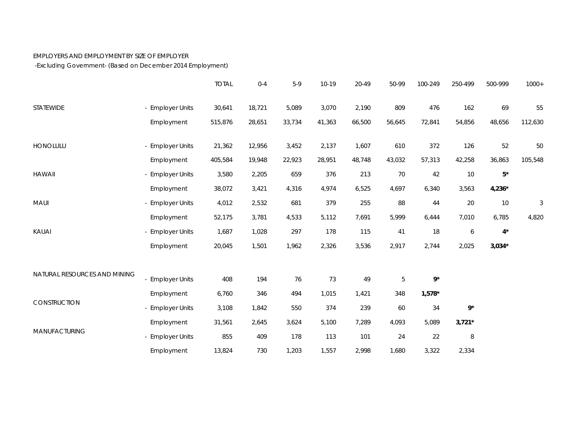## EMPLOYERS AND EMPLOYMENT BY SIZE OF EMPLOYER

-Excluding Government- (Based on December 2014 Employment)

|                              |                       | <b>TOTAL</b> | $0 - 4$ | $5-9$  | 10-19  | 20-49  | 50-99  | 100-249  | 250-499          | 500-999     | $1000+$    |
|------------------------------|-----------------------|--------------|---------|--------|--------|--------|--------|----------|------------------|-------------|------------|
| <b>STATEWIDE</b>             | - Employer Units      | 30,641       | 18,721  | 5,089  | 3,070  | 2,190  | 809    | 476      | 162              | 69          | 55         |
|                              | Employment            | 515,876      | 28,651  | 33,734 | 41,363 | 66,500 | 56,645 | 72,841   | 54,856           | 48,656      | 112,630    |
| HONOLULU                     | - Employer Units      | 21,362       | 12,956  | 3,452  | 2,137  | 1,607  | 610    | 372      | 126              | 52          | 50         |
|                              | Employment            | 405,584      | 19,948  | 22,923 | 28,951 | 48,748 | 43,032 | 57,313   | 42,258           | 36,863      | 105,548    |
| <b>HAWAII</b>                | - Employer Units      | 3,580        | 2,205   | 659    | 376    | 213    | 70     | 42       | 10               | $5^\star$   |            |
|                              | Employment            | 38,072       | 3,421   | 4,316  | 4,974  | 6,525  | 4,697  | 6,340    | 3,563            | $4,236*$    |            |
| MAUI                         | - Employer Units      | 4,012        | 2,532   | 681    | 379    | 255    | 88     | 44       | 20               | $10$        | $\sqrt{3}$ |
|                              | Employment            | 52,175       | 3,781   | 4,533  | 5,112  | 7,691  | 5,999  | 6,444    | 7,010            | 6,785       | 4,820      |
| KAUAI                        | - Employer Units      | 1,687        | 1,028   | 297    | 178    | 115    | $41$   | 18       | $\boldsymbol{6}$ | $4^{\star}$ |            |
|                              | Employment            | 20,045       | 1,501   | 1,962  | 2,326  | 3,536  | 2,917  | 2,744    | 2,025            | $3,034*$    |            |
| NATURAL RESOURCES AND MINING |                       |              |         |        |        |        |        |          |                  |             |            |
|                              | <b>Employer Units</b> | 408          | 194     | 76     | 73     | 49     | 5      | $9*$     |                  |             |            |
| CONSTRUCTION                 | Employment            | 6,760        | 346     | 494    | 1,015  | 1,421  | 348    | $1,578*$ |                  |             |            |
|                              | - Employer Units      | 3,108        | 1,842   | 550    | 374    | 239    | 60     | 34       | $9^{\star}$      |             |            |
| MANUFACTURING                | Employment            | 31,561       | 2,645   | 3,624  | 5,100  | 7,289  | 4,093  | 5,089    | $3,721*$         |             |            |
|                              | <b>Employer Units</b> | 855          | 409     | 178    | 113    | 101    | 24     | 22       | $\, 8$           |             |            |
|                              | Employment            | 13,824       | 730     | 1,203  | 1,557  | 2,998  | 1,680  | 3,322    | 2,334            |             |            |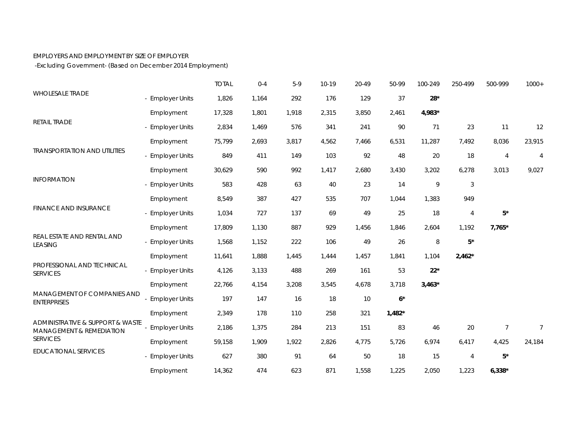## EMPLOYERS AND EMPLOYMENT BY SIZE OF EMPLOYER

-Excluding Government- (Based on December 2014 Employment)

|                                                                                            |                       | <b>TOTAL</b> | $0 - 4$ | $5-9$ | 10-19 | 20-49 | 50-99    | 100-249  | 250-499        | 500-999        | $1000+$        |
|--------------------------------------------------------------------------------------------|-----------------------|--------------|---------|-------|-------|-------|----------|----------|----------------|----------------|----------------|
| <b>WHOLESALE TRADE</b>                                                                     | - Employer Units      | 1,826        | 1,164   | 292   | 176   | 129   | 37       | $28*$    |                |                |                |
|                                                                                            | Employment            | 17,328       | 1,801   | 1,918 | 2,315 | 3,850 | 2,461    | 4,983*   |                |                |                |
| RETAIL TRADE<br><b>TRANSPORTATION AND UTILITIES</b><br><b>INFORMATION</b>                  | - Employer Units      | 2,834        | 1,469   | 576   | 341   | 241   | 90       | 71       | 23             | 11             | 12             |
|                                                                                            | Employment            | 75,799       | 2,693   | 3,817 | 4,562 | 7,466 | 6,531    | 11,287   | 7,492          | 8,036          | 23,915         |
|                                                                                            | - Employer Units      | 849          | 411     | 149   | 103   | 92    | 48       | 20       | 18             | $\overline{4}$ | 4              |
|                                                                                            | Employment            | 30,629       | 590     | 992   | 1,417 | 2,680 | 3,430    | 3,202    | 6,278          | 3,013          | 9,027          |
|                                                                                            | - Employer Units      | 583          | 428     | 63    | 40    | 23    | 14       | 9        | $\mathfrak{Z}$ |                |                |
|                                                                                            | Employment            | 8,549        | 387     | 427   | 535   | 707   | 1,044    | 1,383    | 949            |                |                |
| <b>FINANCE AND INSURANCE</b>                                                               | - Employer Units      | 1,034        | 727     | 137   | 69    | 49    | 25       | 18       | $\overline{4}$ | $5^\star$      |                |
|                                                                                            | Employment            | 17,809       | 1,130   | 887   | 929   | 1,456 | 1,846    | 2,604    | 1,192          | $7,765*$       |                |
| REAL ESTATE AND RENTAL AND<br><b>LEASING</b>                                               | - Employer Units      | 1,568        | 1,152   | 222   | 106   | 49    | 26       | 8        | $5^\star$      |                |                |
|                                                                                            | Employment            | 11,641       | 1,888   | 1,445 | 1,444 | 1,457 | 1,841    | 1,104    | $2,462*$       |                |                |
| PROFESSIONAL AND TECHNICAL<br><b>SERVICES</b>                                              | - Employer Units      | 4,126        | 3,133   | 488   | 269   | 161   | 53       | $22*$    |                |                |                |
|                                                                                            | Employment            | 22,766       | 4,154   | 3,208 | 3,545 | 4,678 | 3,718    | $3,463*$ |                |                |                |
| MANAGEMENT OF COMPANIES AND<br><b>ENTERPRISES</b>                                          | <b>Employer Units</b> | 197          | 147     | 16    | 18    | 10    | $6*$     |          |                |                |                |
|                                                                                            | Employment            | 2,349        | 178     | 110   | 258   | 321   | $1,482*$ |          |                |                |                |
| ADMINISTRATIVE & SUPPORT & WASTE<br><b>MANAGEMENT &amp; REMEDIATION</b><br><b>SERVICES</b> | <b>Employer Units</b> | 2,186        | 1,375   | 284   | 213   | 151   | 83       | 46       | 20             | $\overline{7}$ | $\overline{7}$ |
|                                                                                            | Employment            | 59,158       | 1,909   | 1,922 | 2,826 | 4,775 | 5,726    | 6,974    | 6,417          | 4,425          | 24,184         |
| <b>EDUCATIONAL SERVICES</b>                                                                | - Employer Units      | 627          | 380     | 91    | 64    | 50    | 18       | 15       | $\overline{4}$ | $5^{\star}$    |                |
|                                                                                            | Employment            | 14,362       | 474     | 623   | 871   | 1,558 | 1,225    | 2,050    | 1,223          | $6,338*$       |                |